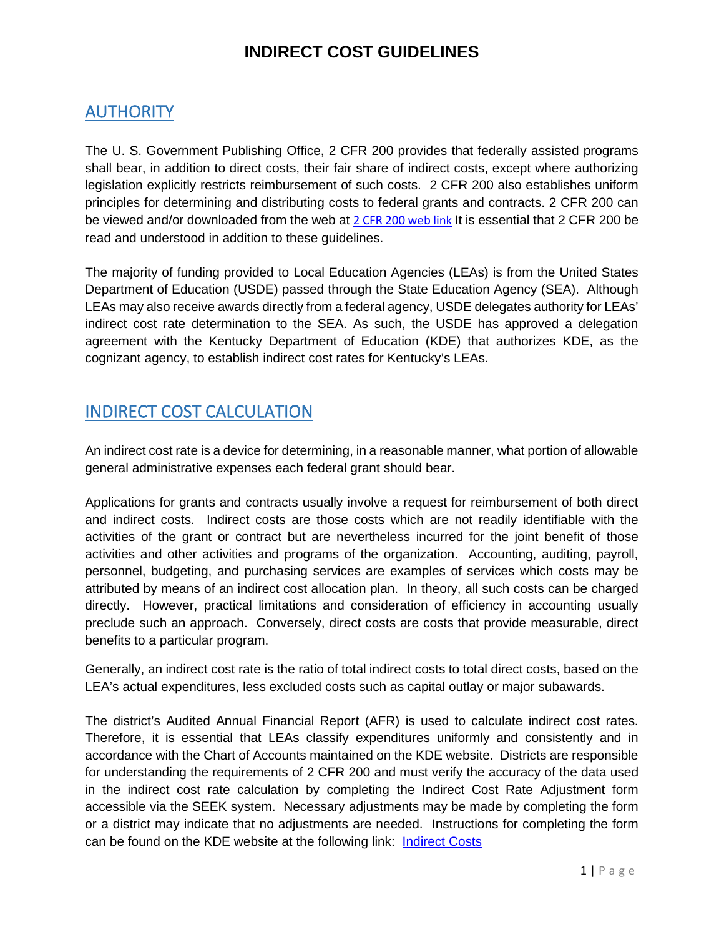### AUTHORITY

The U. S. Government Publishing Office, 2 CFR 200 provides that federally assisted programs shall bear, in addition to direct costs, their fair share of indirect costs, except where authorizing legislation explicitly restricts reimbursement of such costs. 2 CFR 200 also establishes uniform principles for determining and distributing costs to federal grants and contracts. 2 CFR 200 can be viewed and/or downloaded from the web at [2 CFR 200 web link](https://www.gpo.gov/fdsys/granule/CFR-2014-title2-vol1/CFR-2014-title2-vol1-part200/content-detail.html) It is essential that 2 CFR 200 be read and understood in addition to these guidelines.

The majority of funding provided to Local Education Agencies (LEAs) is from the United States Department of Education (USDE) passed through the State Education Agency (SEA). Although LEAs may also receive awards directly from a federal agency, USDE delegates authority for LEAs' indirect cost rate determination to the SEA. As such, the USDE has approved a delegation agreement with the Kentucky Department of Education (KDE) that authorizes KDE, as the cognizant agency, to establish indirect cost rates for Kentucky's LEAs.

### INDIRECT COST CALCULATION

An indirect cost rate is a device for determining, in a reasonable manner, what portion of allowable general administrative expenses each federal grant should bear.

Applications for grants and contracts usually involve a request for reimbursement of both direct and indirect costs. Indirect costs are those costs which are not readily identifiable with the activities of the grant or contract but are nevertheless incurred for the joint benefit of those activities and other activities and programs of the organization. Accounting, auditing, payroll, personnel, budgeting, and purchasing services are examples of services which costs may be attributed by means of an indirect cost allocation plan. In theory, all such costs can be charged directly. However, practical limitations and consideration of efficiency in accounting usually preclude such an approach. Conversely, direct costs are costs that provide measurable, direct benefits to a particular program.

Generally, an indirect cost rate is the ratio of total indirect costs to total direct costs, based on the LEA's actual expenditures, less excluded costs such as capital outlay or major subawards.

The district's Audited Annual Financial Report (AFR) is used to calculate indirect cost rates. Therefore, it is essential that LEAs classify expenditures uniformly and consistently and in accordance with the Chart of Accounts maintained on the KDE website. Districts are responsible for understanding the requirements of 2 CFR 200 and must verify the accuracy of the data used in the indirect cost rate calculation by completing the Indirect Cost Rate Adjustment form accessible via the SEEK system. Necessary adjustments may be made by completing the form or a district may indicate that no adjustments are needed. Instructions for completing the form can be found on the KDE website at the following link: [Indirect Costs](https://education.ky.gov/districts/FinRept/Pages/Fund%20Balances,%20Revenues%20and%20Expenditures,%20Chart%20of%20Accounts,%20Indirect%20Cost%20Rates%20and%20Key%20Financial%20Indicators.aspx)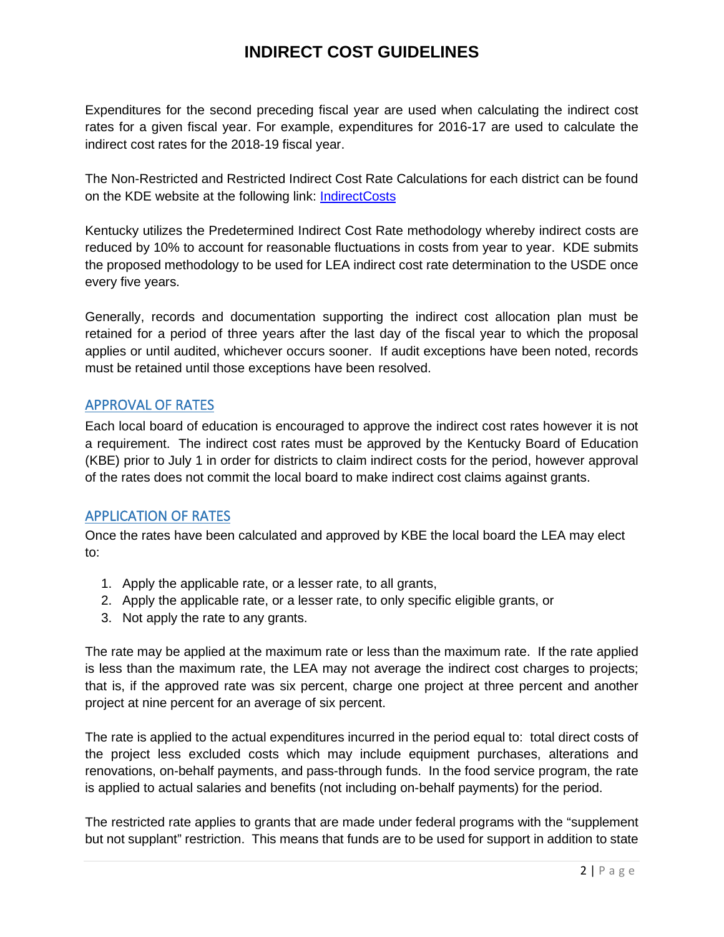Expenditures for the second preceding fiscal year are used when calculating the indirect cost rates for a given fiscal year. For example, expenditures for 2016-17 are used to calculate the indirect cost rates for the 2018-19 fiscal year.

The Non-Restricted and Restricted Indirect Cost Rate Calculations for each district can be found on the KDE website at the following link: [IndirectCosts](https://education.ky.gov/districts/FinRept/Pages/Fund%20Balances,%20Revenues%20and%20Expenditures,%20Chart%20of%20Accounts,%20Indirect%20Cost%20Rates%20and%20Key%20Financial%20Indicators.aspx)

Kentucky utilizes the Predetermined Indirect Cost Rate methodology whereby indirect costs are reduced by 10% to account for reasonable fluctuations in costs from year to year. KDE submits the proposed methodology to be used for LEA indirect cost rate determination to the USDE once every five years.

Generally, records and documentation supporting the indirect cost allocation plan must be retained for a period of three years after the last day of the fiscal year to which the proposal applies or until audited, whichever occurs sooner. If audit exceptions have been noted, records must be retained until those exceptions have been resolved.

#### APPROVAL OF RATES

Each local board of education is encouraged to approve the indirect cost rates however it is not a requirement. The indirect cost rates must be approved by the Kentucky Board of Education (KBE) prior to July 1 in order for districts to claim indirect costs for the period, however approval of the rates does not commit the local board to make indirect cost claims against grants.

#### APPLICATION OF RATES

Once the rates have been calculated and approved by KBE the local board the LEA may elect to:

- 1. Apply the applicable rate, or a lesser rate, to all grants,
- 2. Apply the applicable rate, or a lesser rate, to only specific eligible grants, or
- 3. Not apply the rate to any grants.

The rate may be applied at the maximum rate or less than the maximum rate. If the rate applied is less than the maximum rate, the LEA may not average the indirect cost charges to projects; that is, if the approved rate was six percent, charge one project at three percent and another project at nine percent for an average of six percent.

The rate is applied to the actual expenditures incurred in the period equal to: total direct costs of the project less excluded costs which may include equipment purchases, alterations and renovations, on-behalf payments, and pass-through funds. In the food service program, the rate is applied to actual salaries and benefits (not including on-behalf payments) for the period.

The restricted rate applies to grants that are made under federal programs with the "supplement but not supplant" restriction. This means that funds are to be used for support in addition to state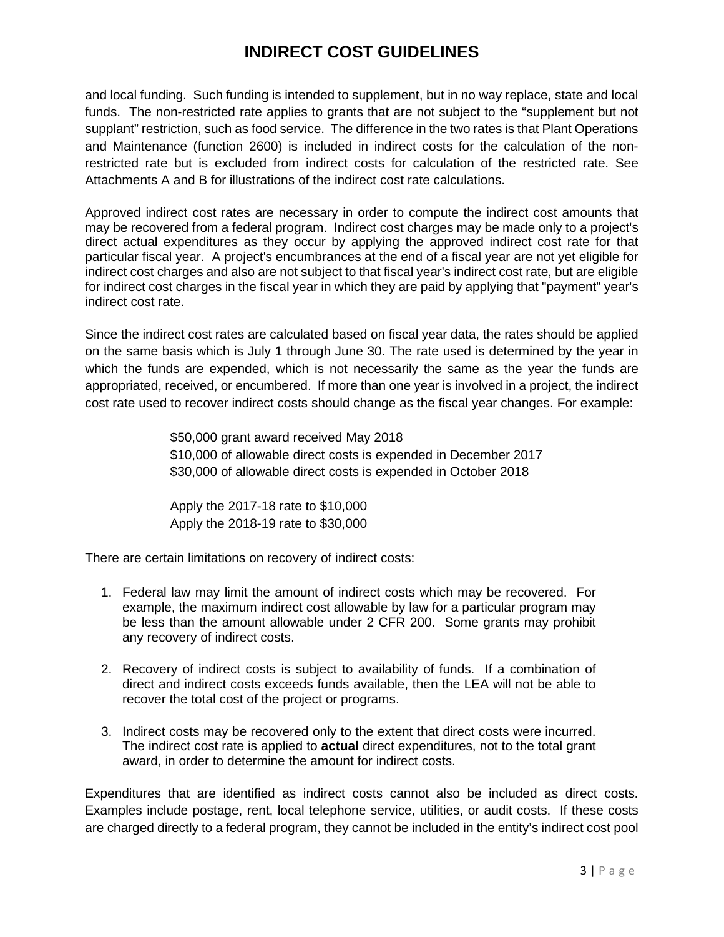and local funding. Such funding is intended to supplement, but in no way replace, state and local funds. The non-restricted rate applies to grants that are not subject to the "supplement but not supplant" restriction, such as food service. The difference in the two rates is that Plant Operations and Maintenance (function 2600) is included in indirect costs for the calculation of the nonrestricted rate but is excluded from indirect costs for calculation of the restricted rate. See Attachments A and B for illustrations of the indirect cost rate calculations.

Approved indirect cost rates are necessary in order to compute the indirect cost amounts that may be recovered from a federal program. Indirect cost charges may be made only to a project's direct actual expenditures as they occur by applying the approved indirect cost rate for that particular fiscal year. A project's encumbrances at the end of a fiscal year are not yet eligible for indirect cost charges and also are not subject to that fiscal year's indirect cost rate, but are eligible for indirect cost charges in the fiscal year in which they are paid by applying that "payment" year's indirect cost rate.

Since the indirect cost rates are calculated based on fiscal year data, the rates should be applied on the same basis which is July 1 through June 30. The rate used is determined by the year in which the funds are expended, which is not necessarily the same as the year the funds are appropriated, received, or encumbered. If more than one year is involved in a project, the indirect cost rate used to recover indirect costs should change as the fiscal year changes. For example:

> \$50,000 grant award received May 2018 \$10,000 of allowable direct costs is expended in December 2017 \$30,000 of allowable direct costs is expended in October 2018

Apply the 2017-18 rate to \$10,000 Apply the 2018-19 rate to \$30,000

There are certain limitations on recovery of indirect costs:

- 1. Federal law may limit the amount of indirect costs which may be recovered. For example, the maximum indirect cost allowable by law for a particular program may be less than the amount allowable under 2 CFR 200. Some grants may prohibit any recovery of indirect costs.
- 2. Recovery of indirect costs is subject to availability of funds. If a combination of direct and indirect costs exceeds funds available, then the LEA will not be able to recover the total cost of the project or programs.
- 3. Indirect costs may be recovered only to the extent that direct costs were incurred. The indirect cost rate is applied to **actual** direct expenditures, not to the total grant award, in order to determine the amount for indirect costs.

Expenditures that are identified as indirect costs cannot also be included as direct costs. Examples include postage, rent, local telephone service, utilities, or audit costs. If these costs are charged directly to a federal program, they cannot be included in the entity's indirect cost pool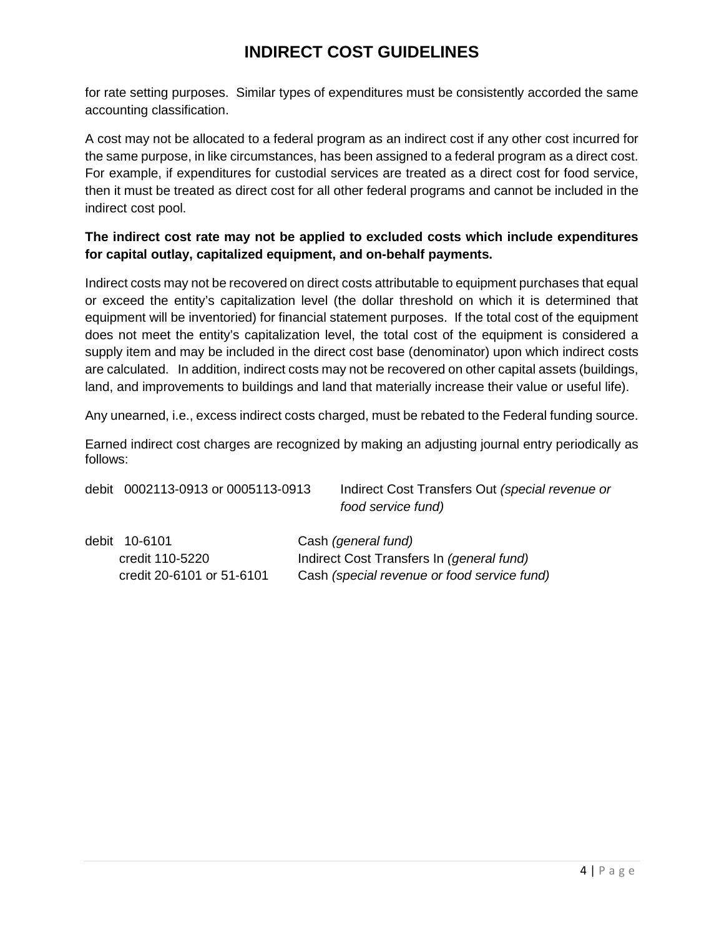for rate setting purposes. Similar types of expenditures must be consistently accorded the same accounting classification.

A cost may not be allocated to a federal program as an indirect cost if any other cost incurred for the same purpose, in like circumstances, has been assigned to a federal program as a direct cost. For example, if expenditures for custodial services are treated as a direct cost for food service, then it must be treated as direct cost for all other federal programs and cannot be included in the indirect cost pool.

#### **The indirect cost rate may not be applied to excluded costs which include expenditures for capital outlay, capitalized equipment, and on-behalf payments.**

Indirect costs may not be recovered on direct costs attributable to equipment purchases that equal or exceed the entity's capitalization level (the dollar threshold on which it is determined that equipment will be inventoried) for financial statement purposes. If the total cost of the equipment does not meet the entity's capitalization level, the total cost of the equipment is considered a supply item and may be included in the direct cost base (denominator) upon which indirect costs are calculated. In addition, indirect costs may not be recovered on other capital assets (buildings, land, and improvements to buildings and land that materially increase their value or useful life).

Any unearned, i.e., excess indirect costs charged, must be rebated to the Federal funding source.

Earned indirect cost charges are recognized by making an adjusting journal entry periodically as follows:

debit 0002113-0913 or 0005113-0913 Indirect Cost Transfers Out *(special revenue or food service fund)*

debit 10-6101 Cash *(general fund)*

credit 110-5220 Indirect Cost Transfers In *(general fund)* credit 20-6101 or 51-6101 Cash *(special revenue or food service fund)*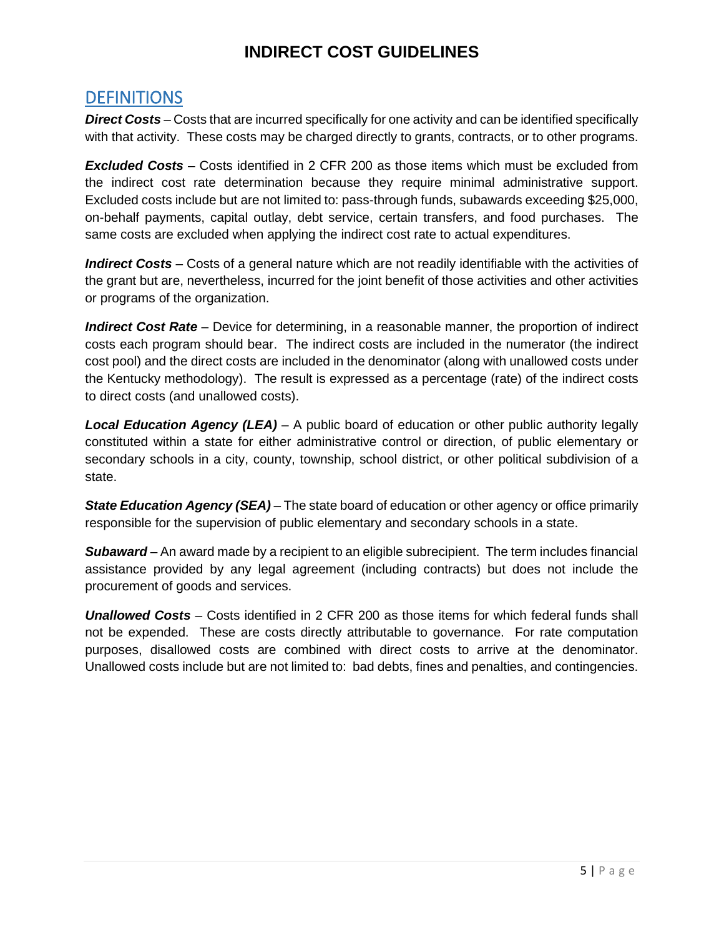#### **DEFINITIONS**

*Direct Costs* – Costs that are incurred specifically for one activity and can be identified specifically with that activity. These costs may be charged directly to grants, contracts, or to other programs.

*Excluded Costs* – Costs identified in 2 CFR 200 as those items which must be excluded from the indirect cost rate determination because they require minimal administrative support. Excluded costs include but are not limited to: pass-through funds, subawards exceeding \$25,000, on-behalf payments, capital outlay, debt service, certain transfers, and food purchases. The same costs are excluded when applying the indirect cost rate to actual expenditures.

*Indirect Costs* – Costs of a general nature which are not readily identifiable with the activities of the grant but are, nevertheless, incurred for the joint benefit of those activities and other activities or programs of the organization.

*Indirect Cost Rate* – Device for determining, in a reasonable manner, the proportion of indirect costs each program should bear. The indirect costs are included in the numerator (the indirect cost pool) and the direct costs are included in the denominator (along with unallowed costs under the Kentucky methodology). The result is expressed as a percentage (rate) of the indirect costs to direct costs (and unallowed costs).

*Local Education Agency (LEA)* – A public board of education or other public authority legally constituted within a state for either administrative control or direction, of public elementary or secondary schools in a city, county, township, school district, or other political subdivision of a state.

*State Education Agency (SEA)* – The state board of education or other agency or office primarily responsible for the supervision of public elementary and secondary schools in a state.

*Subaward* – An award made by a recipient to an eligible subrecipient. The term includes financial assistance provided by any legal agreement (including contracts) but does not include the procurement of goods and services.

*Unallowed Costs* – Costs identified in 2 CFR 200 as those items for which federal funds shall not be expended. These are costs directly attributable to governance. For rate computation purposes, disallowed costs are combined with direct costs to arrive at the denominator. Unallowed costs include but are not limited to: bad debts, fines and penalties, and contingencies.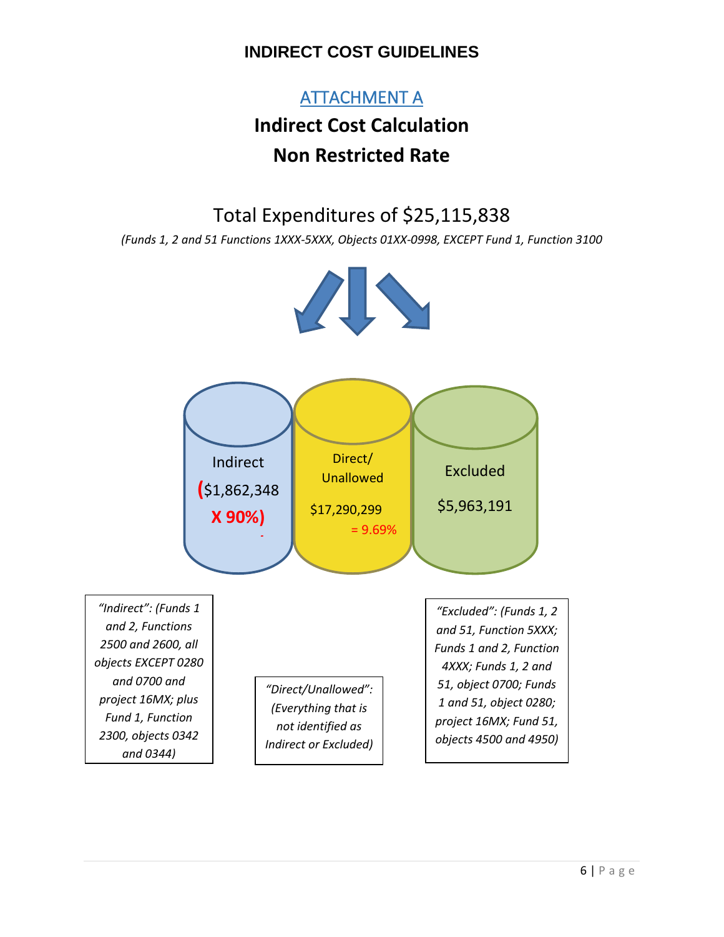### ATTACHMENT A

# **Indirect Cost Calculation Non Restricted Rate**

Total Expenditures of \$25,115,838

*(Funds 1, 2 and 51 Functions 1XXX-5XXX, Objects 01XX-0998, EXCEPT Fund 1, Function 3100*



\$17,290,299

= 9.69%





**(**\$1,862,348

**X 90%)**

**/**

*"Excluded": (Funds 1, 2 and 51, Function 5XXX; Funds 1 and 2, Function 4XXX; Funds 1, 2 and 51, object 0700; Funds 1 and 51, object 0280; project 16MX; Fund 51, objects 4500 and 4950)*

\$5,963,191